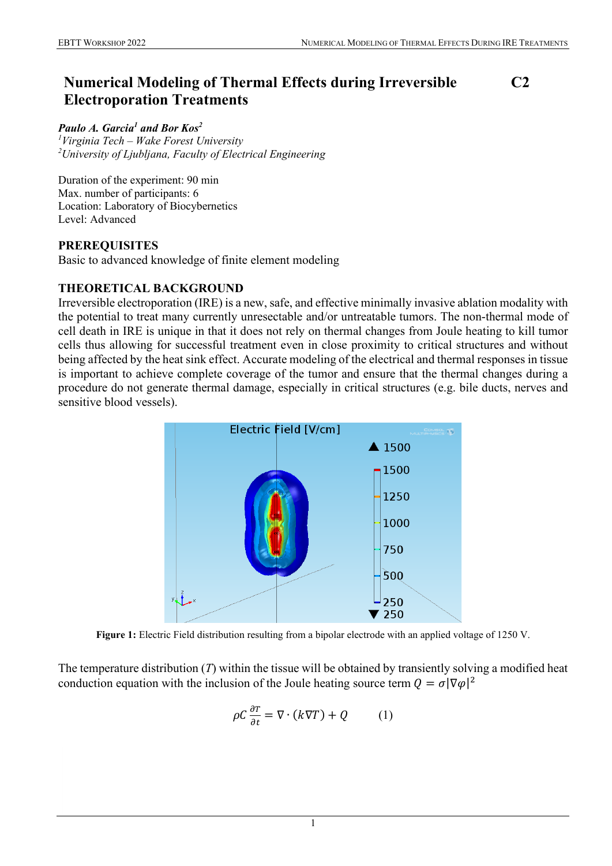# **Numerical Modeling of Thermal Effects during Irreversible Electroporation Treatments**

**C2**

#### *Paulo A. Garcia1 and Bor Kos<sup>2</sup>*

*1 Virginia Tech – Wake Forest University 2 University of Ljubljana, Faculty of Electrical Engineering*

Duration of the experiment: 90 min Max. number of participants: 6 Location: Laboratory of Biocybernetics Level: Advanced

# **PREREQUISITES**

Basic to advanced knowledge of finite element modeling

# **THEORETICAL BACKGROUND**

Irreversible electroporation (IRE) is a new, safe, and effective minimally invasive ablation modality with the potential to treat many currently unresectable and/or untreatable tumors. The non-thermal mode of cell death in IRE is unique in that it does not rely on thermal changes from Joule heating to kill tumor cells thus allowing for successful treatment even in close proximity to critical structures and without being affected by the heat sink effect. Accurate modeling of the electrical and thermal responses in tissue is important to achieve complete coverage of the tumor and ensure that the thermal changes during a procedure do not generate thermal damage, especially in critical structures (e.g. bile ducts, nerves and sensitive blood vessels).



**Figure 1:** Electric Field distribution resulting from a bipolar electrode with an applied voltage of 1250 V.

The temperature distribution (*T*) within the tissue will be obtained by transiently solving a modified heat conduction equation with the inclusion of the Joule heating source term  $Q = \sigma |\nabla \varphi|^2$ 

$$
\rho C \frac{\partial T}{\partial t} = \nabla \cdot (k \nabla T) + Q \tag{1}
$$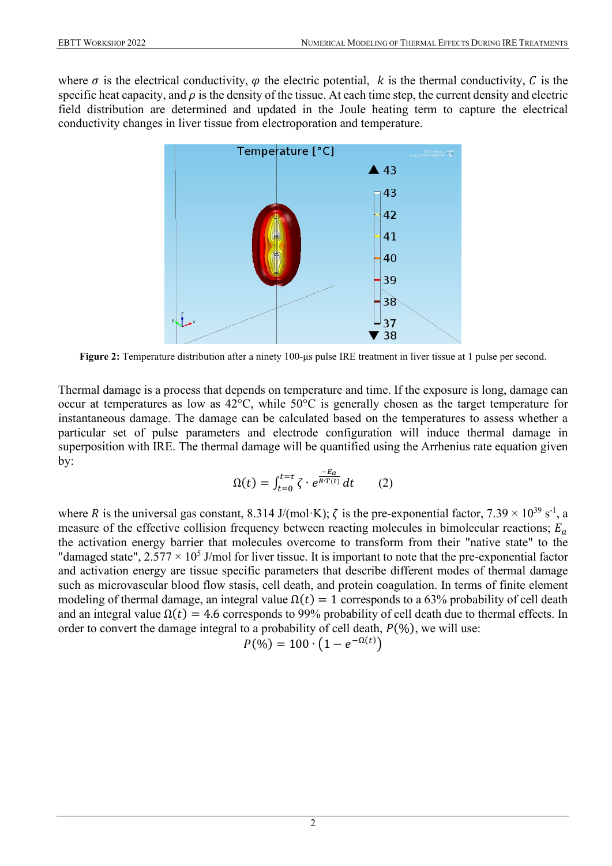where  $\sigma$  is the electrical conductivity,  $\varphi$  the electric potential, k is the thermal conductivity, C is the specific heat capacity, and  $\rho$  is the density of the tissue. At each time step, the current density and electric field distribution are determined and updated in the Joule heating term to capture the electrical conductivity changes in liver tissue from electroporation and temperature.



**Figure 2:** Temperature distribution after a ninety 100-μs pulse IRE treatment in liver tissue at 1 pulse per second.

Thermal damage is a process that depends on temperature and time. If the exposure is long, damage can occur at temperatures as low as 42°C, while 50°C is generally chosen as the target temperature for instantaneous damage. The damage can be calculated based on the temperatures to assess whether a particular set of pulse parameters and electrode configuration will induce thermal damage in superposition with IRE. The thermal damage will be quantified using the Arrhenius rate equation given by:

$$
\Omega(t) = \int_{t=0}^{t=\tau} \zeta \cdot e^{\frac{-E_a}{R \cdot T(t)}} dt \qquad (2)
$$

where R is the universal gas constant, 8.314 J/(mol·K);  $\zeta$  is the pre-exponential factor, 7.39  $\times$  10<sup>39</sup> s<sup>-1</sup>, a measure of the effective collision frequency between reacting molecules in bimolecular reactions;  $E_a$ the activation energy barrier that molecules overcome to transform from their "native state" to the "damaged state",  $2.577 \times 10^5$  J/mol for liver tissue. It is important to note that the pre-exponential factor and activation energy are tissue specific parameters that describe different modes of thermal damage such as microvascular blood flow stasis, cell death, and protein coagulation. In terms of finite element modeling of thermal damage, an integral value  $\Omega(t) = 1$  corresponds to a 63% probability of cell death and an integral value  $\Omega(t) = 4.6$  corresponds to 99% probability of cell death due to thermal effects. In order to convert the damage integral to a probability of cell death,  $P(\%)$ , we will use:

$$
P(\%) = 100 \cdot (1 - e^{-\Omega(t)})
$$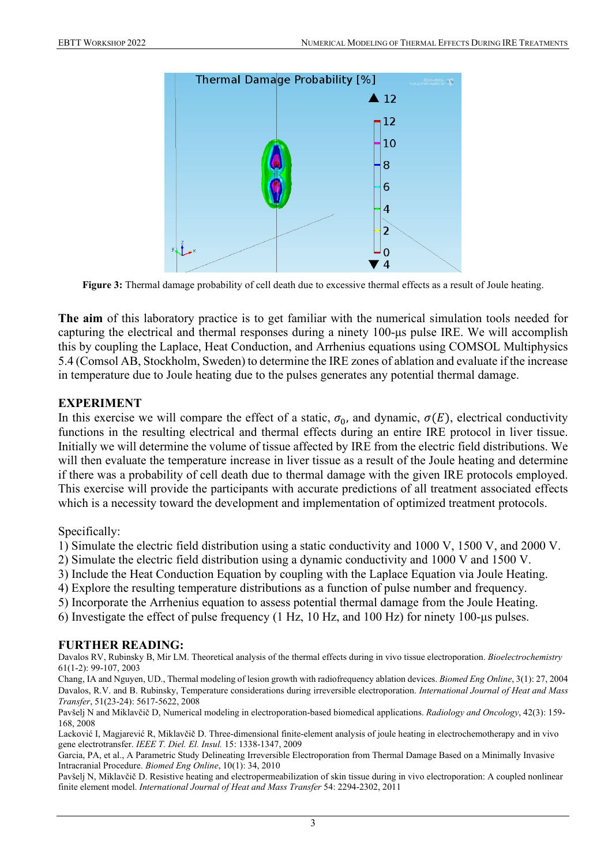

**Figure 3:** Thermal damage probability of cell death due to excessive thermal effects as a result of Joule heating.

**The aim** of this laboratory practice is to get familiar with the numerical simulation tools needed for capturing the electrical and thermal responses during a ninety 100-μs pulse IRE. We will accomplish this by coupling the Laplace, Heat Conduction, and Arrhenius equations using COMSOL Multiphysics 5.4 (Comsol AB, Stockholm, Sweden) to determine the IRE zones of ablation and evaluate if the increase in temperature due to Joule heating due to the pulses generates any potential thermal damage.

#### **EXPERIMENT**

In this exercise we will compare the effect of a static,  $\sigma_0$ , and dynamic,  $\sigma(E)$ , electrical conductivity functions in the resulting electrical and thermal effects during an entire IRE protocol in liver tissue. Initially we will determine the volume of tissue affected by IRE from the electric field distributions. We will then evaluate the temperature increase in liver tissue as a result of the Joule heating and determine if there was a probability of cell death due to thermal damage with the given IRE protocols employed. This exercise will provide the participants with accurate predictions of all treatment associated effects which is a necessity toward the development and implementation of optimized treatment protocols.

Specifically:

1) Simulate the electric field distribution using a static conductivity and 1000 V, 1500 V, and 2000 V.

2) Simulate the electric field distribution using a dynamic conductivity and 1000 V and 1500 V.

3) Include the Heat Conduction Equation by coupling with the Laplace Equation via Joule Heating.

4) Explore the resulting temperature distributions as a function of pulse number and frequency.

5) Incorporate the Arrhenius equation to assess potential thermal damage from the Joule Heating.

6) Investigate the effect of pulse frequency (1 Hz, 10 Hz, and 100 Hz) for ninety 100-μs pulses.

# **FURTHER READING:**

[Davalos RV,](http://www.ncbi.nlm.nih.gov/pubmed?term=%22Davalos%20RV%22%5BAuthor%5D) [Rubinsky B,](http://www.ncbi.nlm.nih.gov/pubmed?term=%22Rubinsky%20B%22%5BAuthor%5D) [Mir LM.](http://www.ncbi.nlm.nih.gov/pubmed?term=%22Mir%20LM%22%5BAuthor%5D) Theoretical analysis of the thermal effects during in vivo tissue electroporation. *[Bioelectrochemistry](javascript:AL_get(this,%20)* 61(1-2): 99-107, 2003

Chang, IA and Nguyen, UD., Thermal modeling of lesion growth with radiofrequency ablation devices. *Biomed Eng Online*, 3(1): 27, 2004 Davalos, R.V. and B. Rubinsky, Temperature considerations during irreversible electroporation. *International Journal of Heat and Mass Transfer*, 51(23-24): 5617-5622, 2008

Pavšelj N and Miklavčič D, Numerical modeling in electroporation-based biomedical applications. *Radiology and Oncology*, 42(3): 159- 168, 2008

Lacković I, Magjarević R, Miklavčič D. Three-dimensional finite-element analysis of joule heating in electrochemotherapy and in vivo gene electrotransfer. *IEEE T. Diel. El. Insul.* 15: 1338-1347, 2009

Garcia, PA, et al., A Parametric Study Delineating Irreversible Electroporation from Thermal Damage Based on a Minimally Invasive Intracranial Procedure. *Biomed Eng Online*, 10(1): 34, 2010

Pavšelj N, Miklavčič D. Resistive heating and electropermeabilization of skin tissue during in vivo electroporation: A coupled nonlinear finite element model. *International Journal of Heat and Mass Transfer* 54: 2294-2302, 2011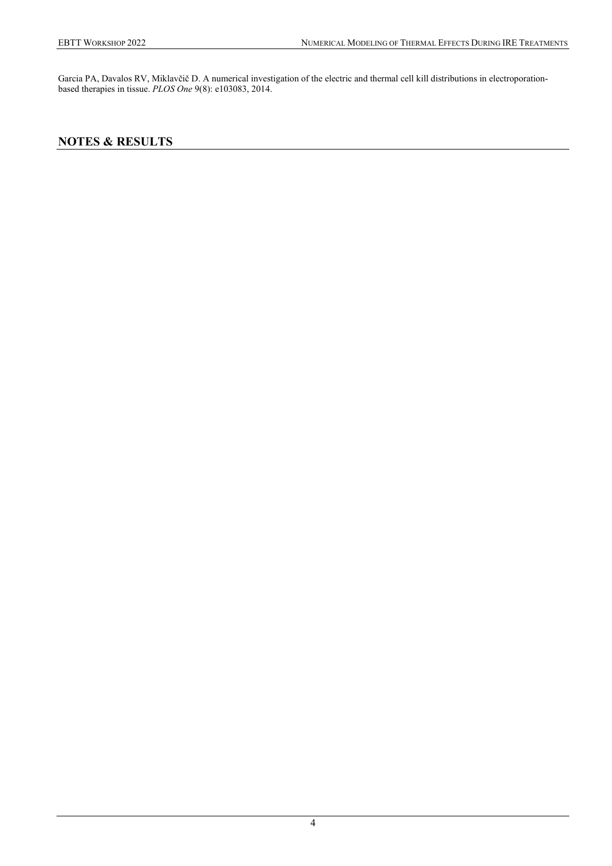Garcia PA, Davalos RV, Miklavčič D. A numerical investigation of the electric and thermal cell kill distributions in electroporationbased therapies in tissue. *PLOS One* 9(8): e103083, 2014.

# **NOTES & RESULTS**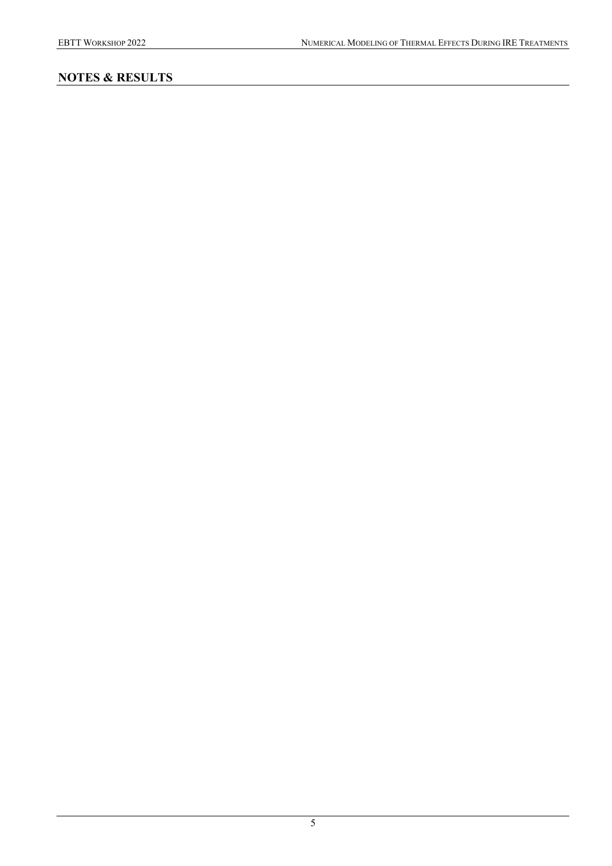# **NOTES & RESULTS**